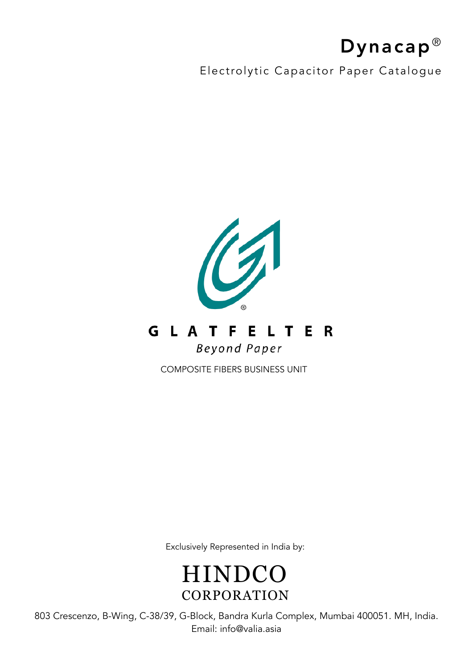# Dynacap<sup>®</sup>

Electrolytic Capacitor Paper Catalogue



COMPOSITE FIBERS BUSINESS UNIT

Exclusively Represented in India by:

**HINDCO** CORPORATION

803 Crescenzo, B-Wing, C-38/39, G-Block, Bandra Kurla Complex, Mumbai 400051. MH, India. Email: info@valia.asia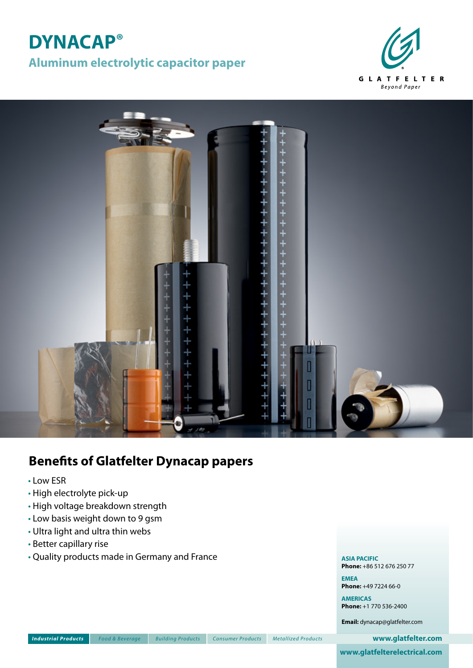## **DYNACAP® Aluminum electrolytic capacitor paper**





## **Benefits of Glatfelter Dynacap papers**

- Low ESR
- High electrolyte pick-up
- High voltage breakdown strength
- Low basis weight down to 9 gsm
- Ultra light and ultra thin webs
- Better capillary rise
- Quality products made in Germany and France

**ASIA PACIFIC Phone:** +86 512 676 250 77

**EMEA Phone:** +49 7224 66-0

**AMERICAS Phone:** +1 770 536-2400

**Email:** dynacap@glatfelter.com

㔏㦾䞷兇 歮❐ 毽㠨 柏杬兇 功䭷兇 *Industrial Products Food & Beverage Building Products Consumer Products Metallized Products* **www.glatfelter.com**

**www.glatfelterelectrical.com**